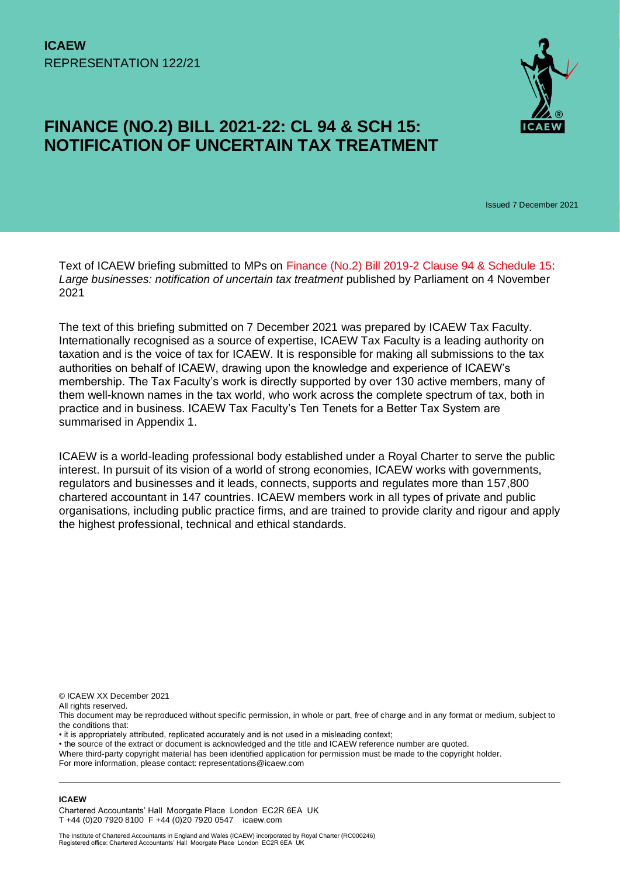# **FINANCE (NO.2) BILL 2021-22: CL 94 & SCH 15: NOTIFICATION OF UNCERTAIN TAX TREATMENT**



Issued 7 December 2021

Text of ICAEW briefing submitted to MPs on [Finance \(No.2\) Bill 2019-2](https://bills.parliament.uk/bills/2835) Clause 94 & Schedule 15: *Large businesses: notification of uncertain tax treatment* published by Parliament on 4 November 2021

The text of this briefing submitted on 7 December 2021 was prepared by ICAEW Tax Faculty. Internationally recognised as a source of expertise, ICAEW Tax Faculty is a leading authority on taxation and is the voice of tax for ICAEW. It is responsible for making all submissions to the tax authorities on behalf of ICAEW, drawing upon the knowledge and experience of ICAEW's membership. The Tax Faculty's work is directly supported by over 130 active members, many of them well-known names in the tax world, who work across the complete spectrum of tax, both in practice and in business. ICAEW Tax Faculty's Ten Tenets for a Better Tax System are summarised in Appendix 1.

ICAEW is a world-leading professional body established under a Royal Charter to serve the public interest. In pursuit of its vision of a world of strong economies, ICAEW works with governments, regulators and businesses and it leads, connects, supports and regulates more than 157,800 chartered accountant in 147 countries. ICAEW members work in all types of private and public organisations, including public practice firms, and are trained to provide clarity and rigour and apply the highest professional, technical and ethical standards.

© ICAEW XX December 2021

All rights reserved.

This document may be reproduced without specific permission, in whole or part, free of charge and in any format or medium, subject to the conditions that:

• it is appropriately attributed, replicated accurately and is not used in a misleading context;

• the source of the extract or document is acknowledged and the title and ICAEW reference number are quoted.

Where third-party copyright material has been identified application for permission must be made to the copyright holder. For more information, please contact: representations@icaew.com

**ICAEW** 

Chartered Accountants' Hall Moorgate Place London EC2R 6EA UK T +44 (0)20 7920 8100 F +44 (0)20 7920 0547 icaew.com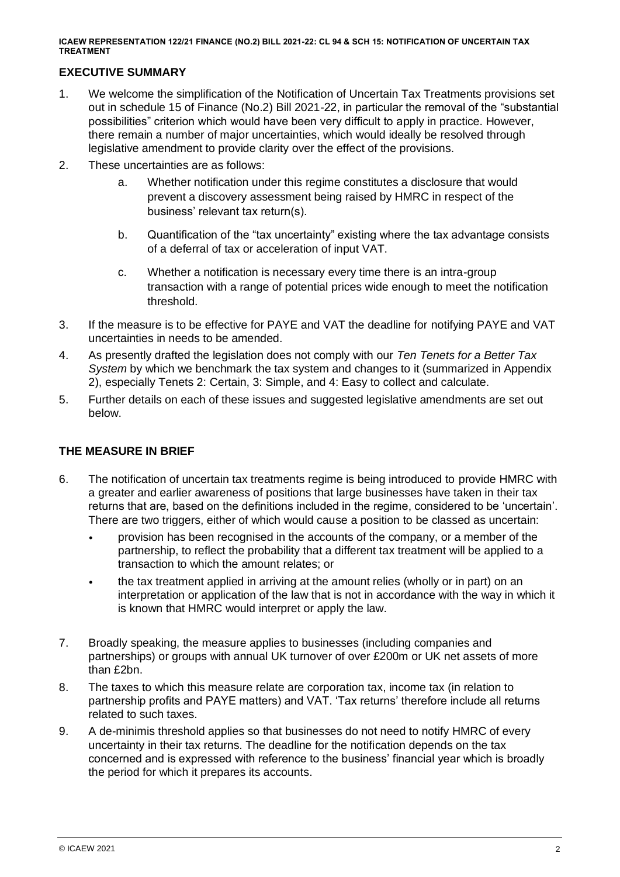# **EXECUTIVE SUMMARY**

- 1. We welcome the simplification of the Notification of Uncertain Tax Treatments provisions set out in schedule 15 of Finance (No.2) Bill 2021-22, in particular the removal of the "substantial possibilities" criterion which would have been very difficult to apply in practice. However, there remain a number of major uncertainties, which would ideally be resolved through legislative amendment to provide clarity over the effect of the provisions.
- 2. These uncertainties are as follows:
	- a. Whether notification under this regime constitutes a disclosure that would prevent a discovery assessment being raised by HMRC in respect of the business' relevant tax return(s).
	- b. Quantification of the "tax uncertainty" existing where the tax advantage consists of a deferral of tax or acceleration of input VAT.
	- c. Whether a notification is necessary every time there is an intra-group transaction with a range of potential prices wide enough to meet the notification threshold.
- 3. If the measure is to be effective for PAYE and VAT the deadline for notifying PAYE and VAT uncertainties in needs to be amended.
- 4. As presently drafted the legislation does not comply with our *Ten Tenets for a Better Tax System* by which we benchmark the tax system and changes to it (summarized in Appendix 2), especially Tenets 2: Certain, 3: Simple, and 4: Easy to collect and calculate.
- 5. Further details on each of these issues and suggested legislative amendments are set out below.

# **THE MEASURE IN BRIEF**

- 6. The notification of uncertain tax treatments regime is being introduced to provide HMRC with a greater and earlier awareness of positions that large businesses have taken in their tax returns that are, based on the definitions included in the regime, considered to be 'uncertain'. There are two triggers, either of which would cause a position to be classed as uncertain:
	- provision has been recognised in the accounts of the company, or a member of the partnership, to reflect the probability that a different tax treatment will be applied to a transaction to which the amount relates; or
	- the tax treatment applied in arriving at the amount relies (wholly or in part) on an interpretation or application of the law that is not in accordance with the way in which it is known that HMRC would interpret or apply the law.
- 7. Broadly speaking, the measure applies to businesses (including companies and partnerships) or groups with annual UK turnover of over £200m or UK net assets of more than £2bn.
- 8. The taxes to which this measure relate are corporation tax, income tax (in relation to partnership profits and PAYE matters) and VAT. 'Tax returns' therefore include all returns related to such taxes.
- 9. A de-minimis threshold applies so that businesses do not need to notify HMRC of every uncertainty in their tax returns. The deadline for the notification depends on the tax concerned and is expressed with reference to the business' financial year which is broadly the period for which it prepares its accounts.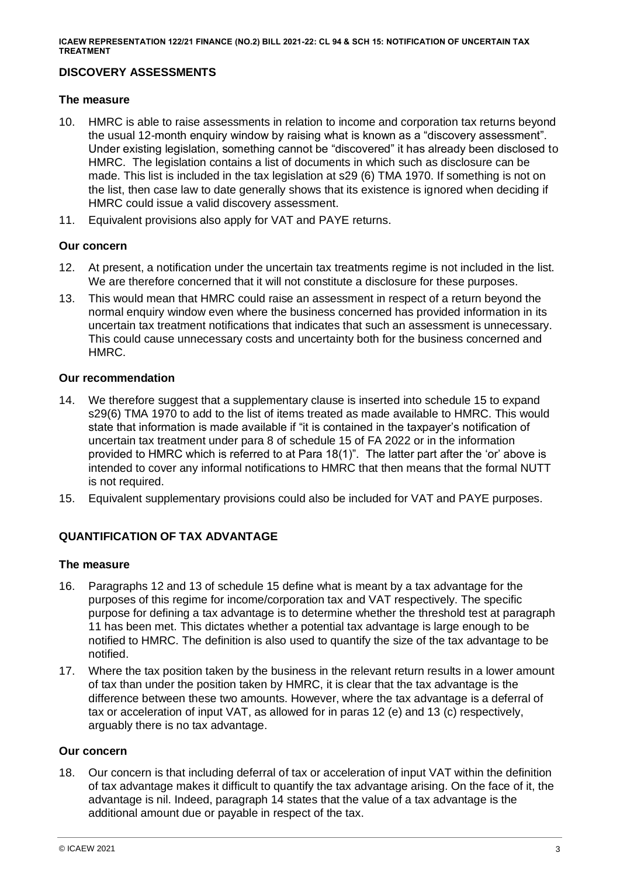# **DISCOVERY ASSESSMENTS**

### **The measure**

- 10. HMRC is able to raise assessments in relation to income and corporation tax returns beyond the usual 12-month enquiry window by raising what is known as a "discovery assessment". Under existing legislation, something cannot be "discovered" it has already been disclosed to HMRC. The legislation contains a list of documents in which such as disclosure can be made. This list is included in the tax legislation at s29 (6) TMA 1970. If something is not on the list, then case law to date generally shows that its existence is ignored when deciding if HMRC could issue a valid discovery assessment.
- 11. Equivalent provisions also apply for VAT and PAYE returns.

# **Our concern**

- 12. At present, a notification under the uncertain tax treatments regime is not included in the list. We are therefore concerned that it will not constitute a disclosure for these purposes.
- 13. This would mean that HMRC could raise an assessment in respect of a return beyond the normal enquiry window even where the business concerned has provided information in its uncertain tax treatment notifications that indicates that such an assessment is unnecessary. This could cause unnecessary costs and uncertainty both for the business concerned and HMRC.

# **Our recommendation**

- 14. We therefore suggest that a supplementary clause is inserted into schedule 15 to expand s29(6) TMA 1970 to add to the list of items treated as made available to HMRC. This would state that information is made available if "it is contained in the taxpayer's notification of uncertain tax treatment under para 8 of schedule 15 of FA 2022 or in the information provided to HMRC which is referred to at Para 18(1)". The latter part after the 'or' above is intended to cover any informal notifications to HMRC that then means that the formal NUTT is not required.
- 15. Equivalent supplementary provisions could also be included for VAT and PAYE purposes.

# **QUANTIFICATION OF TAX ADVANTAGE**

# **The measure**

- 16. Paragraphs 12 and 13 of schedule 15 define what is meant by a tax advantage for the purposes of this regime for income/corporation tax and VAT respectively. The specific purpose for defining a tax advantage is to determine whether the threshold test at paragraph 11 has been met. This dictates whether a potential tax advantage is large enough to be notified to HMRC. The definition is also used to quantify the size of the tax advantage to be notified.
- 17. Where the tax position taken by the business in the relevant return results in a lower amount of tax than under the position taken by HMRC, it is clear that the tax advantage is the difference between these two amounts. However, where the tax advantage is a deferral of tax or acceleration of input VAT, as allowed for in paras 12 (e) and 13 (c) respectively, arguably there is no tax advantage.

#### **Our concern**

18. Our concern is that including deferral of tax or acceleration of input VAT within the definition of tax advantage makes it difficult to quantify the tax advantage arising. On the face of it, the advantage is nil. Indeed, paragraph 14 states that the value of a tax advantage is the additional amount due or payable in respect of the tax.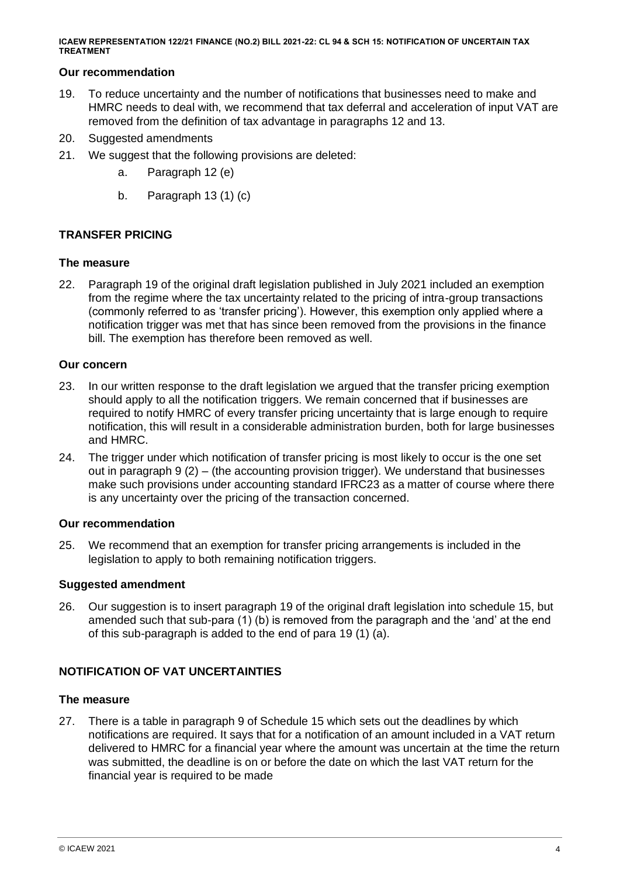# **Our recommendation**

- 19. To reduce uncertainty and the number of notifications that businesses need to make and HMRC needs to deal with, we recommend that tax deferral and acceleration of input VAT are removed from the definition of tax advantage in paragraphs 12 and 13.
- 20. Suggested amendments
- 21. We suggest that the following provisions are deleted:
	- a. Paragraph 12 (e)
	- b. Paragraph 13 (1) (c)

# **TRANSFER PRICING**

# **The measure**

22. Paragraph 19 of the original draft legislation published in July 2021 included an exemption from the regime where the tax uncertainty related to the pricing of intra-group transactions (commonly referred to as 'transfer pricing'). However, this exemption only applied where a notification trigger was met that has since been removed from the provisions in the finance bill. The exemption has therefore been removed as well.

# **Our concern**

- 23. In our written response to the draft legislation we argued that the transfer pricing exemption should apply to all the notification triggers. We remain concerned that if businesses are required to notify HMRC of every transfer pricing uncertainty that is large enough to require notification, this will result in a considerable administration burden, both for large businesses and HMRC.
- 24. The trigger under which notification of transfer pricing is most likely to occur is the one set out in paragraph 9 (2) – (the accounting provision trigger). We understand that businesses make such provisions under accounting standard IFRC23 as a matter of course where there is any uncertainty over the pricing of the transaction concerned.

# **Our recommendation**

25. We recommend that an exemption for transfer pricing arrangements is included in the legislation to apply to both remaining notification triggers.

# **Suggested amendment**

26. Our suggestion is to insert paragraph 19 of the original draft legislation into schedule 15, but amended such that sub-para (1) (b) is removed from the paragraph and the 'and' at the end of this sub-paragraph is added to the end of para 19 (1) (a).

# **NOTIFICATION OF VAT UNCERTAINTIES**

# **The measure**

27. There is a table in paragraph 9 of Schedule 15 which sets out the deadlines by which notifications are required. It says that for a notification of an amount included in a VAT return delivered to HMRC for a financial year where the amount was uncertain at the time the return was submitted, the deadline is on or before the date on which the last VAT return for the financial year is required to be made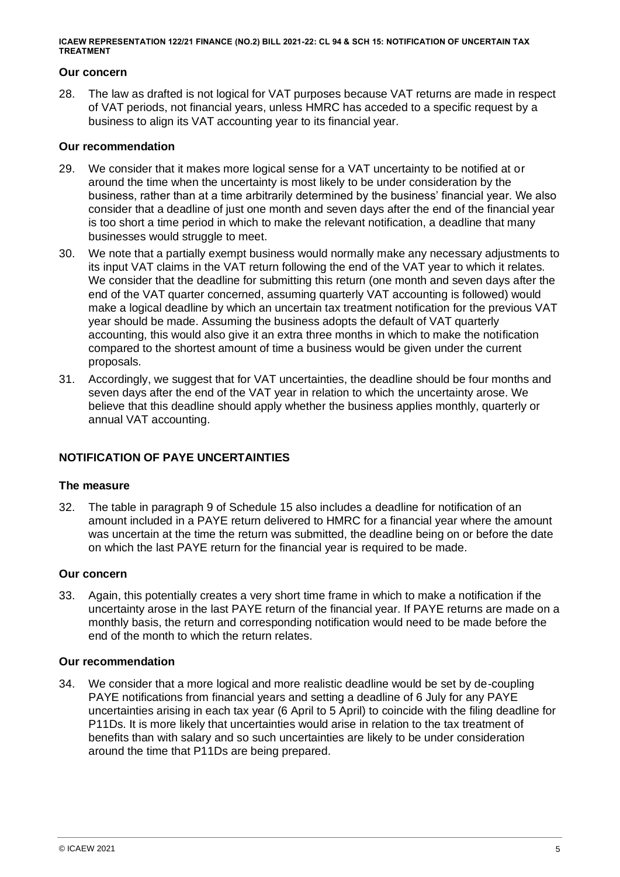#### **Our concern**

28. The law as drafted is not logical for VAT purposes because VAT returns are made in respect of VAT periods, not financial years, unless HMRC has acceded to a specific request by a business to align its VAT accounting year to its financial year.

### **Our recommendation**

- 29. We consider that it makes more logical sense for a VAT uncertainty to be notified at or around the time when the uncertainty is most likely to be under consideration by the business, rather than at a time arbitrarily determined by the business' financial year. We also consider that a deadline of just one month and seven days after the end of the financial year is too short a time period in which to make the relevant notification, a deadline that many businesses would struggle to meet.
- 30. We note that a partially exempt business would normally make any necessary adjustments to its input VAT claims in the VAT return following the end of the VAT year to which it relates. We consider that the deadline for submitting this return (one month and seven days after the end of the VAT quarter concerned, assuming quarterly VAT accounting is followed) would make a logical deadline by which an uncertain tax treatment notification for the previous VAT year should be made. Assuming the business adopts the default of VAT quarterly accounting, this would also give it an extra three months in which to make the notification compared to the shortest amount of time a business would be given under the current proposals.
- 31. Accordingly, we suggest that for VAT uncertainties, the deadline should be four months and seven days after the end of the VAT year in relation to which the uncertainty arose. We believe that this deadline should apply whether the business applies monthly, quarterly or annual VAT accounting.

# **NOTIFICATION OF PAYE UNCERTAINTIES**

# **The measure**

32. The table in paragraph 9 of Schedule 15 also includes a deadline for notification of an amount included in a PAYE return delivered to HMRC for a financial year where the amount was uncertain at the time the return was submitted, the deadline being on or before the date on which the last PAYE return for the financial year is required to be made.

# **Our concern**

33. Again, this potentially creates a very short time frame in which to make a notification if the uncertainty arose in the last PAYE return of the financial year. If PAYE returns are made on a monthly basis, the return and corresponding notification would need to be made before the end of the month to which the return relates.

#### **Our recommendation**

34. We consider that a more logical and more realistic deadline would be set by de-coupling PAYE notifications from financial years and setting a deadline of 6 July for any PAYE uncertainties arising in each tax year (6 April to 5 April) to coincide with the filing deadline for P11Ds. It is more likely that uncertainties would arise in relation to the tax treatment of benefits than with salary and so such uncertainties are likely to be under consideration around the time that P11Ds are being prepared.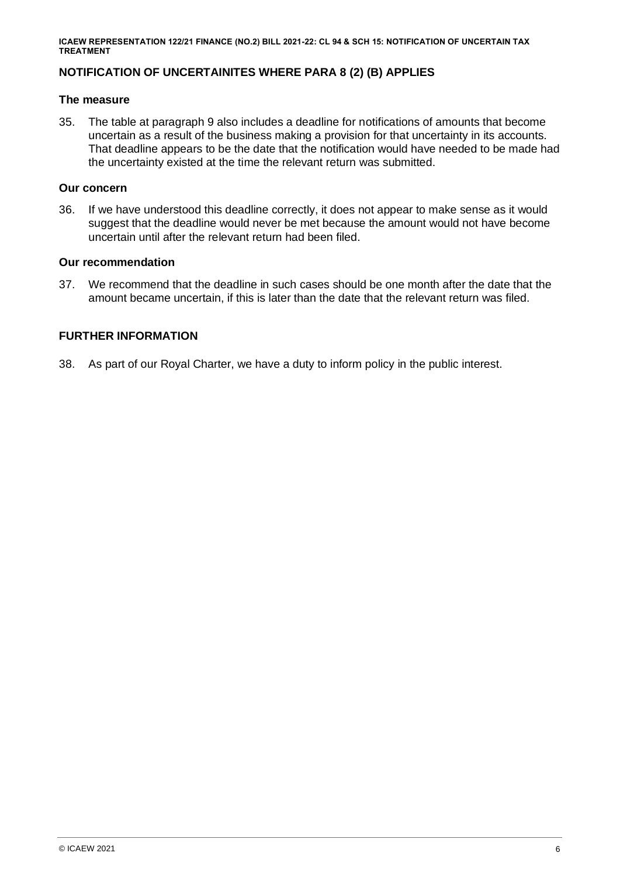# **NOTIFICATION OF UNCERTAINITES WHERE PARA 8 (2) (B) APPLIES**

### **The measure**

35. The table at paragraph 9 also includes a deadline for notifications of amounts that become uncertain as a result of the business making a provision for that uncertainty in its accounts. That deadline appears to be the date that the notification would have needed to be made had the uncertainty existed at the time the relevant return was submitted.

# **Our concern**

36. If we have understood this deadline correctly, it does not appear to make sense as it would suggest that the deadline would never be met because the amount would not have become uncertain until after the relevant return had been filed.

### **Our recommendation**

37. We recommend that the deadline in such cases should be one month after the date that the amount became uncertain, if this is later than the date that the relevant return was filed.

# **FURTHER INFORMATION**

38. As part of our Royal Charter, we have a duty to inform policy in the public interest.